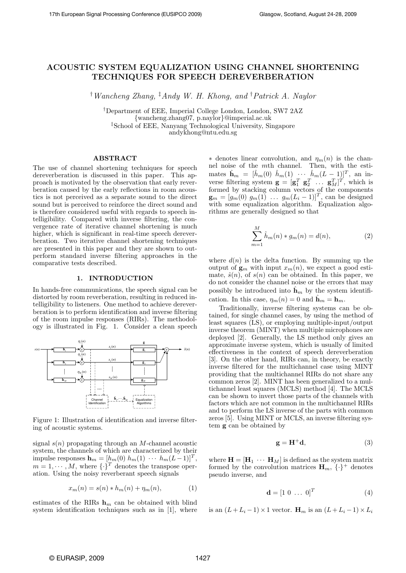# ACOUSTIC SYSTEM EQUALIZATION USING CHANNEL SHORTENING TECHNIQUES FOR SPEECH DEREVERBERATION

†Wancheng Zhang, ‡Andy W. H. Khong, and †Patrick A. Naylor

†Department of EEE, Imperial College London, London, SW7 2AZ {wancheng.zhang07, p.naylor}@imperial.ac.uk ‡School of EEE, Nanyang Technological University, Singapore andykhong@ntu.edu.sg

# ABSTRACT

The use of channel shortening techniques for speech dereverberation is discussed in this paper. This approach is motivated by the observation that early reverberation caused by the early reflections in room acoustics is not perceived as a separate sound to the direct sound but is perceived to reinforce the direct sound and is therefore considered useful with regards to speech intelligibility. Compared with inverse filtering, the convergence rate of iterative channel shortening is much higher, which is significant in real-time speech dereverberation. Two iterative channel shortening techniques are presented in this paper and they are shown to outperform standard inverse filtering approaches in the comparative tests described.

#### 1. INTRODUCTION

In hands-free communications, the speech signal can be distorted by room reverberation, resulting in reduced intelligibility to listeners. One method to achieve dereverberation is to perform identification and inverse filtering of the room impulse responses (RIRs). The methodology is illustrated in Fig. 1. Consider a clean speech



Figure 1: Illustration of identification and inverse filtering of acoustic systems.

signal  $s(n)$  propagating through an M-channel acoustic system, the channels of which are characterized by their impulse responses  $\mathbf{h}_m = [h_m(0) \; h_m(1) \; \cdots \; h_m(L-1)]^T$ ,  $m = 1, \cdots, M$ , where  $\{\cdot\}^T$  denotes the transpose operation. Using the noisy reverberant speech signals

$$
x_m(n) = s(n) * h_m(n) + \eta_m(n),
$$
 (1)

estimates of the RIRs  $h_m$  can be obtained with blind system identification techniques such as in [1], where

 $*$  denotes linear convolution, and  $\eta_m(n)$  is the channel noise of the mth channel. Then, with the estimates  $\hat{\mathbf{h}}_m = [\hat{h}_m(0) \ \hat{h}_m(1) \ \cdots \ \hat{h}_m(L-1)]^T$ , an inverse filtering system  $\mathbf{g} = [\mathbf{g}_1^T \ \mathbf{g}_2^T \ \dots \ \mathbf{g}_M^T]^T$ , which is formed by stacking column vectors of the components  $\mathbf{g}_m = [g_m(0) \; g_m(1) \; \ldots \; g_m(L_i-1)]^T$ , can be designed with some equalization algorithm. Equalization algorithms are generally designed so that

$$
\sum_{m=1}^{M} \hat{h}_{m}(n) * g_{m}(n) = d(n),
$$
\n(2)

where  $d(n)$  is the delta function. By summing up the output of  $\mathbf{g}_m$  with input  $x_m(n)$ , we expect a good estimate,  $\hat{s}(n)$ , of  $s(n)$  can be obtained. In this paper, we do not consider the channel noise or the errors that may possibly be introduced into  $\hat{\mathbf{h}}_m$  by the system identification. In this case,  $\eta_m(n) = 0$  and  $\mathbf{h}_m = \mathbf{h}_m$ .

Traditionally, inverse filtering systems can be obtained, for single channel cases, by using the method of least squares (LS), or employing multiple-input/output inverse theorem (MINT) when multiple microphones are deployed [2]. Generally, the LS method only gives an approximate inverse system, which is usually of limited effectiveness in the context of speech dereverberation [3]. On the other hand, RIRs can, in theory, be exactly inverse filtered for the multichannel case using MINT providing that the multichannel RIRs do not share any common zeros [2]. MINT has been generalized to a multichannel least squares (MCLS) method [4]. The MCLS can be shown to invert those parts of the channels with factors which are not common in the multichannel RIRs and to perform the LS inverse of the parts with common zeros [5]. Using MINT or MCLS, an inverse filtering system g can be obtained by

$$
\mathbf{g} = \mathbf{H}^+ \mathbf{d},\tag{3}
$$

where  $\mathbf{H} = [\mathbf{H}_1 \cdots \mathbf{H}_M]$  is defined as the system matrix formed by the convolution matrices  $\mathbf{H}_m$ ,  $\{\cdot\}^+$  denotes pseudo inverse, and

$$
\mathbf{d} = [1 \ 0 \ \dots \ 0]^T \tag{4}
$$

is an  $(L+L_i-1)\times 1$  vector.  $\mathbf{H}_m$  is an  $(L+L_i-1)\times L_i$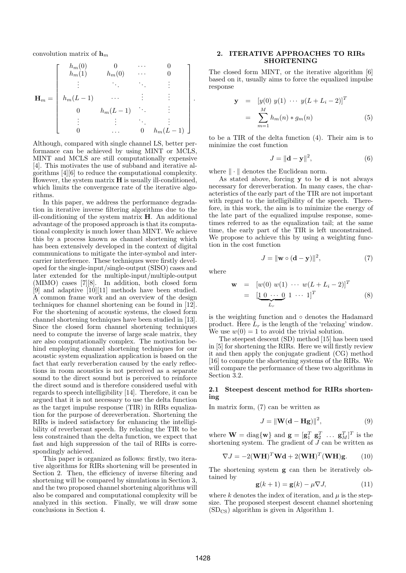convolution matrix of  $h_m$ 

$$
\mathbf{H}_{m} = \left[ \begin{array}{ccccc} h_{m}(0) & 0 & \cdots & 0 \\ h_{m}(1) & h_{m}(0) & \cdots & 0 \\ \vdots & \ddots & \ddots & \vdots \\ h_{m}(L-1) & \cdots & \vdots & \vdots \\ 0 & h_{m}(L-1) & \cdots & \vdots \\ \vdots & \vdots & \ddots & \vdots \\ 0 & \cdots & 0 & h_{m}(L-1) \end{array} \right].
$$

Although, compared with single channel LS, better performance can be achieved by using MINT or MCLS, MINT and MCLS are still computationally expensive [4]. This motivates the use of subband and iterative algorithms [4][6] to reduce the computational complexity. However, the system matrix  $H$  is usually ill-conditioned, which limits the convergence rate of the iterative algorithms.

In this paper, we address the performance degradation in iterative inverse filtering algorithms due to the ill-conditioning of the system matrix H. An additional advantage of the proposed approach is that its computational complexity is much lower than MINT. We achieve this by a process known as channel shortening which has been extensively developed in the context of digital communications to mitigate the inter-symbol and intercarrier interference. These techniques were firstly developed for the single-input/single-output (SISO) cases and later extended for the multiple-input/multiple-output (MIMO) cases [7][8]. In addition, both closed form [9] and adaptive [10][11] methods have been studied. A common frame work and an overview of the design techniques for channel shortening can be found in [12]. For the shortening of acoustic systems, the closed form channel shortening techniques have been studied in [13]. Since the closed form channel shortening techniques need to compute the inverse of large scale matrix, they are also computationally complex. The motivation behind employing channel shortening techniques for our acoustic system equalization application is based on the fact that early reverberation caused by the early reflections in room acoustics is not perceived as a separate sound to the direct sound but is perceived to reinforce the direct sound and is therefore considered useful with regards to speech intelligibility [14]. Therefore, it can be argued that it is not necessary to use the delta function as the target impulse response (TIR) in RIRs equalization for the purpose of dereverberation. Shortening the RIRs is indeed satisfactory for enhancing the intelligibility of reverberant speech. By relaxing the TIR to be less constrained than the delta function, we expect that fast and high suppression of the tail of RIRs is correspondingly achieved.

This paper is organized as follows: firstly, two iterative algorithms for RIRs shortening will be presented in Section 2. Then, the efficiency of inverse filtering and shortening will be compared by simulations in Section 3, and the two proposed channel shortening algorithms will also be compared and computational complexity will be analyzed in this section. Finally, we will draw some conclusions in Section 4.

# 2. ITERATIVE APPROACHES TO RIRs SHORTENING

The closed form MINT, or the iterative algorithm [6] based on it, usually aims to force the equalized impulse response

$$
\mathbf{y} = [y(0) y(1) \cdots y(L + L_i - 2)]^T
$$
  
= 
$$
\sum_{m=1}^{M} h_m(n) * g_m(n)
$$
 (5)

to be a TIR of the delta function (4). Their aim is to minimize the cost function

$$
J = \|\mathbf{d} - \mathbf{y}\|^2,\tag{6}
$$

where  $\|\cdot\|$  denotes the Euclidean norm.

As stated above, forcing y to be d is not always necessary for dereverberation. In many cases, the characteristics of the early part of the TIR are not important with regard to the intelligibility of the speech. Therefore, in this work, the aim is to minimize the energy of the late part of the equalized impulse response, sometimes referred to as the equalization tail; at the same time, the early part of the TIR is left unconstrained. We propose to achieve this by using a weighting function in the cost function

$$
J = \|\mathbf{w} \circ (\mathbf{d} - \mathbf{y})\|^2, \tag{7}
$$

where

$$
\mathbf{w} = [w(0) \ w(1) \ \cdots \ w(L + L_i - 2)]^T
$$

$$
= [\underbrace{1 \ 0 \ \cdots \ 0}_{L_r} \ 1 \ \cdots \ 1]^T \tag{8}
$$

is the weighting function and ◦ denotes the Hadamard product. Here  $L_r$  is the length of the 'relaxing' window. We use  $w(0) = 1$  to avoid the trivial solution.

The steepest descent (SD) method [15] has been used in [5] for shortening the RIRs. Here we will firstly review it and then apply the conjugate gradient (CG) method [16] to compute the shortening systems of the RIRs. We will compare the performance of these two algorithms in Section 3.2.

## 2.1 Steepest descent method for RIRs shortening

In matrix form, (7) can be written as

$$
J = \|\mathbf{W}(\mathbf{d} - \mathbf{H}\mathbf{g})\|^2, \tag{9}
$$

where  $\mathbf{W} = \text{diag}\{\mathbf{w}\}\$ and  $\mathbf{g} = [\mathbf{g}_1^T \ \mathbf{g}_2^T \ \dots \ \mathbf{g}_M^T]^T$  is the shortening system. The gradient of  $\overline{J}$  can be written as

$$
\nabla J = -2(\mathbf{W}\mathbf{H})^T \mathbf{W}\mathbf{d} + 2(\mathbf{W}\mathbf{H})^T (\mathbf{W}\mathbf{H})\mathbf{g}.
$$
 (10)

The shortening system g can then be iteratively obtained by

$$
\mathbf{g}(k+1) = \mathbf{g}(k) - \mu \nabla J,\tag{11}
$$

where k denotes the index of iteration, and  $\mu$  is the stepsize. The proposed steepest descent channel shortening  $(SD_{CS})$  algorithm is given in Algorithm 1.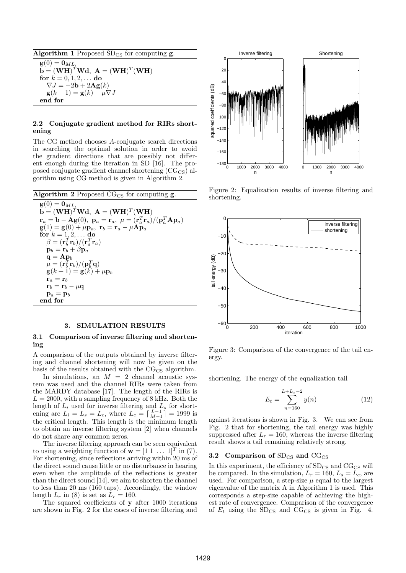Algorithm 1 Proposed  $SD_{CS}$  for computing g.  $\mathbf{g}(0) = \mathbf{0}_{ML}$  $\mathbf{b} = (\mathbf{W}\mathbf{H})^T \mathbf{W} \mathbf{d}, \ \mathbf{A} = (\mathbf{W}\mathbf{H})^T (\mathbf{W}\mathbf{H})$ for  $k = 0, 1, 2, ...$  do  $\nabla J = -2\mathbf{b} + 2\mathbf{Ag}(k)$  $\mathbf{g}(k+1) = \mathbf{g}(k) - \mu \nabla J$ end for

## 2.2 Conjugate gradient method for RIRs shortening

The CG method chooses A-conjugate search directions in searching the optimal solution in order to avoid the gradient directions that are possibly not different enough during the iteration in SD [16]. The proposed conjugate gradient channel shortening  $(\text{CG}_{CS})$  algorithm using CG method is given in Algorithm 2.

Algorithm 2 Proposed  $CG_{CS}$  for computing g.  $\mathbf{g}(0) = \mathbf{0}_{ML}$  $\mathbf{b} = (\mathbf{WH})^T \mathbf{W} \mathbf{d}, \ \mathbf{A} = (\mathbf{WH})^T (\mathbf{WH})$  $\mathbf{r}_a = \mathbf{b} - \mathbf{Ag}(0), \ \mathbf{p}_a = \mathbf{r}_a, \ \mu = (\mathbf{r}_a^T \mathbf{r}_a) / (\mathbf{p}_a^T \mathbf{A} \mathbf{p}_a)$  $\mathbf{g}(1) = \mathbf{g}(0) + \mu \mathbf{p}_a, \ \mathbf{r}_b = \mathbf{r}_a - \mu \mathbf{A} \mathbf{p}_a$ for  $k = 1, 2, ...$  do  $\beta = (\mathbf{r}_b^T \mathbf{r}_b) / (\mathbf{r}_a^T \mathbf{r}_a)$  $\mathbf{p}_b = \mathbf{r}_b + \beta \mathbf{p}_a$  $\mathbf{q} = \mathbf{A} \mathbf{p}_b$  $\mu = (\mathbf{r}_b^T \mathbf{r}_b) / (\mathbf{p}_b^T \mathbf{q})$  $\mathbf{g}(k+1) = \mathbf{g}(k) + \mu \mathbf{p}_b$  $\mathbf{r}_a = \mathbf{r}_b$  $\mathbf{r}_b = \mathbf{r}_b - \mu \mathbf{q}$  $\mathbf{p}_a = \mathbf{p}_b$ end for

#### 3. SIMULATION RESULTS

#### 3.1 Comparison of inverse filtering and shortening

A comparison of the outputs obtained by inverse filtering and channel shortening will now be given on the basis of the results obtained with the  $CG_{CS}$  algorithm.

In simulations, an  $M = 2$  channel acoustic system was used and the channel RIRs were taken from the MARDY database [17]. The length of the RIRs is  $L = 2000$ , with a sampling frequency of 8 kHz. Both the length of  $L_i$  used for inverse filtering and  $L_s$  for shortening are  $L_i = L_s = L_c$ , where  $L_c = \lceil \frac{L-1}{M-1} \rceil = 1999$  is the critical length. This length is the minimum length to obtain an inverse filtering system [2] when channels do not share any common zeros.

The inverse filtering approach can be seen equivalent to using a weighting function of  $\mathbf{w} = \begin{bmatrix} 1 & 1 & \dots & 1 \end{bmatrix}^T$  in (7). For shortening, since reflections arriving within 20 ms of the direct sound cause little or no disturbance in hearing even when the amplitude of the reflections is greater than the direct sound [14], we aim to shorten the channel to less than 20 ms (160 taps). Accordingly, the window length  $L_r$  in (8) is set as  $L_r = 160$ .

The squared coefficients of y after 1000 iterations are shown in Fig. 2 for the cases of inverse filtering and



Figure 2: Equalization results of inverse filtering and shortening.



Figure 3: Comparison of the convergence of the tail energy.

shortening. The energy of the equalization tail

$$
E_t = \sum_{n=160}^{L+L_s-2} y(n)
$$
 (12)

against iterations is shown in Fig. 3. We can see from Fig. 2 that for shortening, the tail energy was highly suppressed after  $L_r = 160$ , whereas the inverse filtering result shows a tail remaining relatively strong.

#### 3.2 Comparison of  $SD_{CS}$  and  $CG_{CS}$

In this experiment, the efficiency of  $SD_{CS}$  and  $CG_{CS}$  will be compared. In the simulation,  $L_r = 160, L_s = L_c$ , are used. For comparison, a step-size  $\mu$  equal to the largest eigenvalue of the matrix A in Algorithm 1 is used. This corresponds a step-size capable of achieving the highest rate of convergence. Comparison of the convergence of  $E_t$  using the SD<sub>CS</sub> and CG<sub>CS</sub> is given in Fig. 4.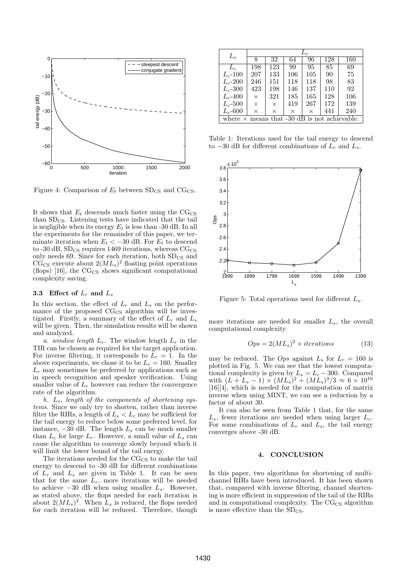

Figure 4: Comparison of  $E_t$  between  $SD_{CS}$  and  $CG_{CS}$ .

It shows that  $E_t$  descends much faster using the  $CG_{CS}$ than  $SD_{CS}$ . Listening tests have indicated that the tail is negligible when its energy  $E_t$  is less than -30 dB. In all the experiments for the remainder of this paper, we terminate iteration when  $E_t < -30$  dB. For  $E_t$  to descend to -30 dB,  $SD_{CS}$  requires 1469 iterations, whereas  $CG_{CS}$ only needs 69. Since for each iteration, both  $SD_{CS}$  and  $\widetilde{\text{CG}}_{\text{CS}}$  execute about  $2(ML_s)^2$  floating point operations (flops) [16], the  $CG_{CS}$  shows significant computational complexity saving.

### 3.3 Effect of  $L_r$  and  $L_s$

In this section, the effect of  $L_r$  and  $L_s$  on the performance of the proposed  $CG_{CS}$  algorithm will be investigated. Firstly, a summary of the effect of  $L_r$  and  $L_s$ will be given. Then, the simulation results will be shown and analyzed.

a. window length  $L_r$ . The window length  $L_r$  in the TIR can be chosen as required for the target application. For inverse filtering, it corresponds to  $L_r = 1$ . In the above experiments, we chose it to be  $L_r = 160$ . Smaller  $L_r$  may sometimes be preferred by applications such as in speech recognition and speaker verification. Using smaller value of  $L_r$  however can reduce the convergence rate of the algorithm.

b. Ls, length of the components of shortening systems. Since we only try to shorten, rather than inverse filter the RIRs, a length of  $L_s < L_c$  may be sufficient for the tail energy to reduce below some preferred level, for instance,  $-30$  dB. The length  $L_s$  can be much smaller than  $L_c$  for large  $L_r$ . However, a small value of  $L_s$  can cause the algorithm to converge slowly beyond which it will limit the lower bound of the tail energy.

The iterations needed for the  $CG_{CS}$  to make the tail energy to descend to -30 dB for different combinations of  $L_r$  and  $L_s$  are given in Table 1. It can be seen that for the same  $L_r$ , more iterations will be needed to achieve  $-30$  dB when using smaller  $L_s$ . However, as stated above, the flops needed for each iteration is about  $2(ML_s)^2$ . When  $L_s$  is reduced, the flops needed for each iteration will be reduced. Therefore, though

| $L_s$                                               | $L_r$ |          |     |     |     |     |
|-----------------------------------------------------|-------|----------|-----|-----|-----|-----|
|                                                     | 8     | 32       | 64  | 96  | 128 | 160 |
| $L_c$                                               | 198   | 123      | 99  | 95  | 85  | 69  |
| $L_c$ -100                                          | 207   | 133      | 106 | 105 | 90  | 75  |
| $L_c$ -200                                          | 246   | 151      | 118 | 118 | 98  | 83  |
| $L_c$ -300                                          | 423   | 198      | 146 | 137 | 110 | 92  |
| $L_c$ -400                                          | X     | 321      | 185 | 165 | 128 | 106 |
| $L_c$ -500                                          | X     | $\times$ | 419 | 267 | 172 | 139 |
| $L_c$ -600                                          | ×     | ×        | X   | X   | 441 | 240 |
| where $\times$ means that -30 dB is not achievable. |       |          |     |     |     |     |

Table 1: Iterations used for the tail energy to descend to  $-30$  dB for different combinations of  $L_r$  and  $L_s$ .



Figure 5: Total operations used for different  $L_s$ .

more iterations are needed for smaller  $L_s$ , the overall computational complexity

$$
Ops = 2(ML_s)^2 \times iterations \tag{13}
$$

may be reduced. The *Ops* against  $L_s$  for  $L_r = 160$  is plotted in Fig. 5. We can see that the lowest computational complexity is given by  $L_s = L_c - 300$ . Compared with  $(L + L_s - 1) \times (ML_s)^2 + (ML_s)^3/3 \approx 6 \times 10^{10}$ [16][4], which is needed for the computation of matrix inverse when using MINT, we can see a reduction by a factor of about 30.

It can also be seen from Table 1 that, for the same  $L_s$ , fewer iterations are needed when using larger  $L_r$ . For some combinations of  $L_r$  and  $L_s$ , the tail energy converges above -30 dB.

#### 4. CONCLUSION

In this paper, two algorithms for shortening of multichannel RIRs have been introduced. It has been shown that, compared with inverse filtering, channel shortening is more efficient in suppression of the tail of the RIRs and in computational complexity. The  $CG_{CS}$  algorithm is more effective than the  $SD_{CS}$ .